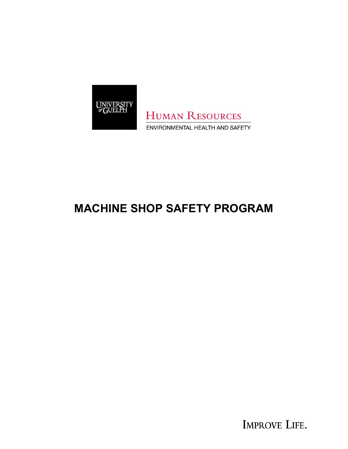

**HUMAN RESOURCES** ENVIRONMENTAL HEALTH AND SAFETY

# **MACHINE SHOP SAFETY PROGRAM**

IMPROVE LIFE.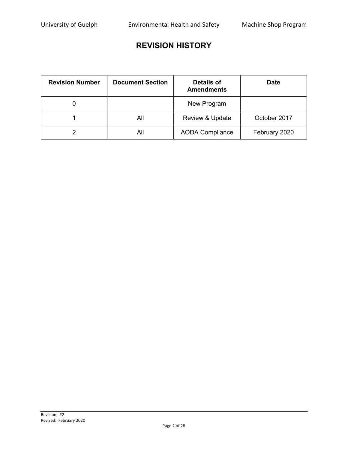# **REVISION HISTORY**

| <b>Revision Number</b> | <b>Document Section</b> | Details of<br><b>Amendments</b> | Date          |
|------------------------|-------------------------|---------------------------------|---------------|
|                        |                         | New Program                     |               |
|                        | All                     | <b>Review &amp; Update</b>      | October 2017  |
|                        | All                     | <b>AODA Compliance</b>          | February 2020 |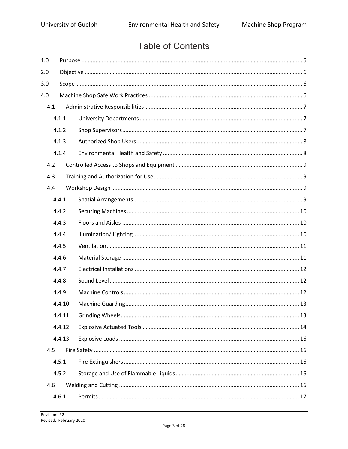# **Table of Contents**

| 1.0 |        |  |  |  |  |
|-----|--------|--|--|--|--|
| 2.0 |        |  |  |  |  |
| 3.0 |        |  |  |  |  |
| 4.0 |        |  |  |  |  |
| 4.1 |        |  |  |  |  |
|     | 4.1.1  |  |  |  |  |
|     | 4.1.2  |  |  |  |  |
|     | 4.1.3  |  |  |  |  |
|     | 4.1.4  |  |  |  |  |
| 4.2 |        |  |  |  |  |
| 4.3 |        |  |  |  |  |
| 4.4 |        |  |  |  |  |
|     | 4.4.1  |  |  |  |  |
|     | 4.4.2  |  |  |  |  |
|     | 4.4.3  |  |  |  |  |
|     | 4.4.4  |  |  |  |  |
|     | 4.4.5  |  |  |  |  |
|     | 4.4.6  |  |  |  |  |
|     | 4.4.7  |  |  |  |  |
|     | 4.4.8  |  |  |  |  |
|     | 4.4.9  |  |  |  |  |
|     | 4.4.10 |  |  |  |  |
|     | 4.4.11 |  |  |  |  |
|     | 4.4.12 |  |  |  |  |
|     | 4.4.13 |  |  |  |  |
| 4.5 |        |  |  |  |  |
|     | 4.5.1  |  |  |  |  |
|     | 4.5.2  |  |  |  |  |
| 4.6 |        |  |  |  |  |
|     | 4.6.1  |  |  |  |  |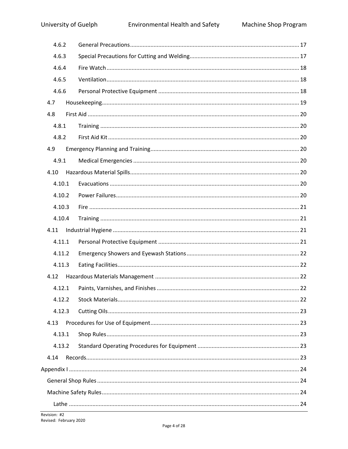|      | 4.6.2  |  |
|------|--------|--|
|      | 4.6.3  |  |
|      | 4.6.4  |  |
|      | 4.6.5  |  |
|      | 4.6.6  |  |
| 4.7  |        |  |
| 4.8  |        |  |
|      | 4.8.1  |  |
|      | 4.8.2  |  |
| 4.9  |        |  |
|      | 4.9.1  |  |
| 4.10 |        |  |
|      | 4.10.1 |  |
|      | 4.10.2 |  |
|      | 4.10.3 |  |
|      | 4.10.4 |  |
| 4.11 |        |  |
|      | 4.11.1 |  |
|      | 4.11.2 |  |
|      | 4.11.3 |  |
| 4.12 |        |  |
|      | 4.12.1 |  |
|      | 4.12.2 |  |
|      | 4.12.3 |  |
| 4.13 |        |  |
|      | 4.13.1 |  |
|      | 4.13.2 |  |
| 4.14 |        |  |
|      |        |  |
|      |        |  |
|      |        |  |
|      |        |  |
|      |        |  |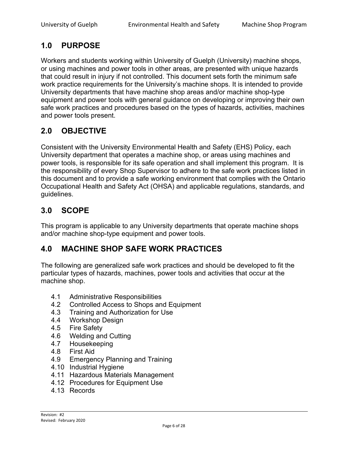# <span id="page-5-0"></span>**1.0 PURPOSE**

Workers and students working within University of Guelph (University) machine shops, or using machines and power tools in other areas, are presented with unique hazards that could result in injury if not controlled. This document sets forth the minimum safe work practice requirements for the University's machine shops. It is intended to provide University departments that have machine shop areas and/or machine shop-type equipment and power tools with general guidance on developing or improving their own safe work practices and procedures based on the types of hazards, activities, machines and power tools present.

# <span id="page-5-1"></span>**2.0 OBJECTIVE**

Consistent with the University Environmental Health and Safety (EHS) Policy, each University department that operates a machine shop, or areas using machines and power tools, is responsible for its safe operation and shall implement this program. It is the responsibility of every Shop Supervisor to adhere to the safe work practices listed in this document and to provide a safe working environment that complies with the Ontario Occupational Health and Safety Act (OHSA) and applicable regulations, standards, and guidelines.

### <span id="page-5-2"></span>**3.0 SCOPE**

This program is applicable to any University departments that operate machine shops and/or machine shop-type equipment and power tools.

### <span id="page-5-3"></span>**4.0 MACHINE SHOP SAFE WORK PRACTICES**

The following are generalized safe work practices and should be developed to fit the particular types of hazards, machines, power tools and activities that occur at the machine shop.

- 4.1 Administrative Responsibilities
- 4.2 Controlled Access to Shops and Equipment
- 4.3 Training and Authorization for Use
- 4.4 Workshop Design
- 4.5 Fire Safety
- 4.6 Welding and Cutting
- 4.7 Housekeeping
- 4.8 First Aid
- 4.9 Emergency Planning and Training
- 4.10 Industrial Hygiene
- 4.11 Hazardous Materials Management
- 4.12 Procedures for Equipment Use
- 4.13 Records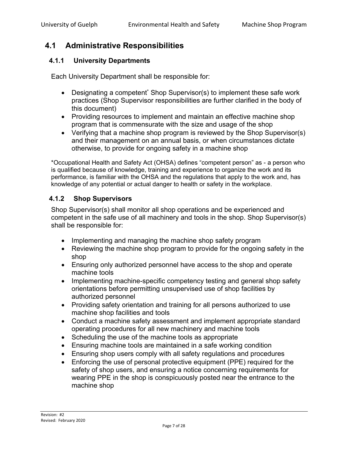## <span id="page-6-0"></span>**4.1 Administrative Responsibilities**

### <span id="page-6-1"></span>**4.1.1 University Departments**

Each University Department shall be responsible for:

- Designating a competent<sup>\*</sup> Shop Supervisor(s) to implement these safe work practices (Shop Supervisor responsibilities are further clarified in the body of this document)
- Providing resources to implement and maintain an effective machine shop program that is commensurate with the size and usage of the shop
- Verifying that a machine shop program is reviewed by the Shop Supervisor(s) and their management on an annual basis, or when circumstances dictate otherwise, to provide for ongoing safety in a machine shop

\*Occupational Health and Safety Act (OHSA) defines "competent person" as - a person who is qualified because of knowledge, training and experience to organize the work and its performance, is familiar with the OHSA and the regulations that apply to the work and, has knowledge of any potential or actual danger to health or safety in the workplace.

### <span id="page-6-2"></span>**4.1.2 Shop Supervisors**

Shop Supervisor(s) shall monitor all shop operations and be experienced and competent in the safe use of all machinery and tools in the shop. Shop Supervisor(s) shall be responsible for:

- Implementing and managing the machine shop safety program
- Reviewing the machine shop program to provide for the ongoing safety in the shop
- Ensuring only authorized personnel have access to the shop and operate machine tools
- Implementing machine-specific competency testing and general shop safety orientations before permitting unsupervised use of shop facilities by authorized personnel
- Providing safety orientation and training for all persons authorized to use machine shop facilities and tools
- Conduct a machine safety assessment and implement appropriate standard operating procedures for all new machinery and machine tools
- Scheduling the use of the machine tools as appropriate
- Ensuring machine tools are maintained in a safe working condition
- Ensuring shop users comply with all safety regulations and procedures
- Enforcing the use of personal protective equipment (PPE) required for the safety of shop users, and ensuring a notice concerning requirements for wearing PPE in the shop is conspicuously posted near the entrance to the machine shop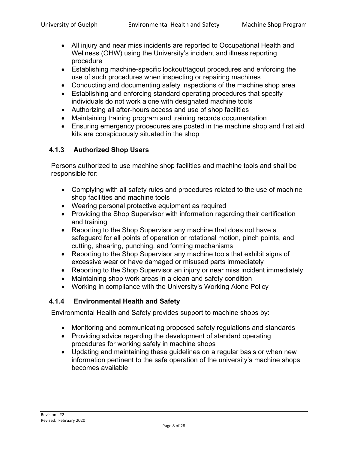- All injury and near miss incidents are reported to Occupational Health and Wellness (OHW) using the University's incident and illness reporting procedure
- Establishing machine-specific lockout/tagout procedures and enforcing the use of such procedures when inspecting or repairing machines
- Conducting and documenting safety inspections of the machine shop area
- Establishing and enforcing standard operating procedures that specify individuals do not work alone with designated machine tools
- Authorizing all after-hours access and use of shop facilities
- Maintaining training program and training records documentation
- Ensuring emergency procedures are posted in the machine shop and first aid kits are conspicuously situated in the shop

### <span id="page-7-0"></span>**4.1.3 Authorized Shop Users**

Persons authorized to use machine shop facilities and machine tools and shall be responsible for:

- Complying with all safety rules and procedures related to the use of machine shop facilities and machine tools
- Wearing personal protective equipment as required
- Providing the Shop Supervisor with information regarding their certification and training
- Reporting to the Shop Supervisor any machine that does not have a safeguard for all points of operation or rotational motion, pinch points, and cutting, shearing, punching, and forming mechanisms
- Reporting to the Shop Supervisor any machine tools that exhibit signs of excessive wear or have damaged or misused parts immediately
- Reporting to the Shop Supervisor an injury or near miss incident immediately
- Maintaining shop work areas in a clean and safety condition
- Working in compliance with the University's Working Alone Policy

### <span id="page-7-1"></span>**4.1.4 Environmental Health and Safety**

Environmental Health and Safety provides support to machine shops by:

- Monitoring and communicating proposed safety regulations and standards
- Providing advice regarding the development of standard operating procedures for working safely in machine shops
- Updating and maintaining these guidelines on a regular basis or when new information pertinent to the safe operation of the university's machine shops becomes available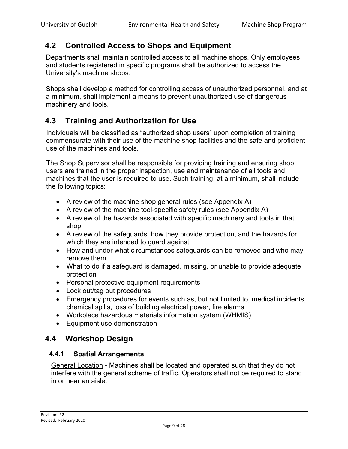# <span id="page-8-0"></span>**4.2 Controlled Access to Shops and Equipment**

Departments shall maintain controlled access to all machine shops. Only employees and students registered in specific programs shall be authorized to access the University's machine shops.

Shops shall develop a method for controlling access of unauthorized personnel, and at a minimum, shall implement a means to prevent unauthorized use of dangerous machinery and tools.

### <span id="page-8-1"></span>**4.3 Training and Authorization for Use**

Individuals will be classified as "authorized shop users" upon completion of training commensurate with their use of the machine shop facilities and the safe and proficient use of the machines and tools.

The Shop Supervisor shall be responsible for providing training and ensuring shop users are trained in the proper inspection, use and maintenance of all tools and machines that the user is required to use. Such training, at a minimum, shall include the following topics:

- A review of the machine shop general rules (see Appendix A)
- A review of the machine tool-specific safety rules (see Appendix A)
- A review of the hazards associated with specific machinery and tools in that shop
- A review of the safeguards, how they provide protection, and the hazards for which they are intended to guard against
- How and under what circumstances safeguards can be removed and who may remove them
- What to do if a safeguard is damaged, missing, or unable to provide adequate protection
- Personal protective equipment requirements
- Lock out/tag out procedures
- Emergency procedures for events such as, but not limited to, medical incidents, chemical spills, loss of building electrical power, fire alarms
- Workplace hazardous materials information system (WHMIS)
- Equipment use demonstration

### <span id="page-8-2"></span>**4.4 Workshop Design**

### <span id="page-8-3"></span>**4.4.1 Spatial Arrangements**

General Location - Machines shall be located and operated such that they do not interfere with the general scheme of traffic. Operators shall not be required to stand in or near an aisle.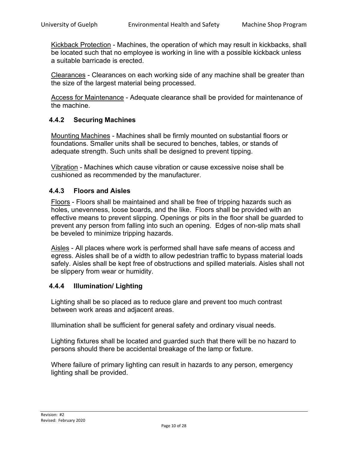Kickback Protection - Machines, the operation of which may result in kickbacks, shall be located such that no employee is working in line with a possible kickback unless a suitable barricade is erected.

Clearances - Clearances on each working side of any machine shall be greater than the size of the largest material being processed.

Access for Maintenance - Adequate clearance shall be provided for maintenance of the machine.

### <span id="page-9-0"></span>**4.4.2 Securing Machines**

Mounting Machines - Machines shall be firmly mounted on substantial floors or foundations. Smaller units shall be secured to benches, tables, or stands of adequate strength. Such units shall be designed to prevent tipping.

Vibration - Machines which cause vibration or cause excessive noise shall be cushioned as recommended by the manufacturer.

#### <span id="page-9-1"></span>**4.4.3 Floors and Aisles**

Floors - Floors shall be maintained and shall be free of tripping hazards such as holes, unevenness, loose boards, and the like. Floors shall be provided with an effective means to prevent slipping. Openings or pits in the floor shall be guarded to prevent any person from falling into such an opening. Edges of non-slip mats shall be beveled to minimize tripping hazards.

Aisles - All places where work is performed shall have safe means of access and egress. Aisles shall be of a width to allow pedestrian traffic to bypass material loads safely. Aisles shall be kept free of obstructions and spilled materials. Aisles shall not be slippery from wear or humidity.

### <span id="page-9-2"></span>**4.4.4 Illumination/ Lighting**

Lighting shall be so placed as to reduce glare and prevent too much contrast between work areas and adjacent areas.

Illumination shall be sufficient for general safety and ordinary visual needs.

Lighting fixtures shall be located and guarded such that there will be no hazard to persons should there be accidental breakage of the lamp or fixture.

Where failure of primary lighting can result in hazards to any person, emergency lighting shall be provided.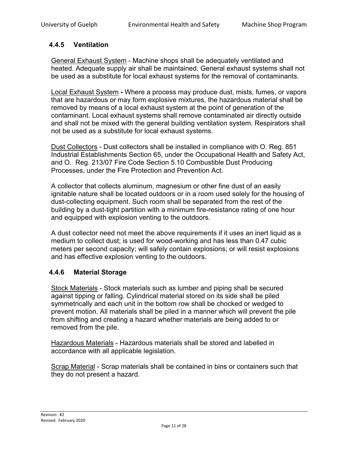### <span id="page-10-0"></span>**4.4.5 Ventilation**

General Exhaust System - Machine shops shall be adequately ventilated and heated. Adequate supply air shall be maintained. General exhaust systems shall not be used as a substitute for local exhaust systems for the removal of contaminants.

Local Exhaust System **-** Where a process may produce dust, mists, fumes, or vapors that are hazardous or may form explosive mixtures, the hazardous material shall be removed by means of a local exhaust system at the point of generation of the contaminant. Local exhaust systems shall remove contaminated air directly outside and shall not be mixed with the general building ventilation system. Respirators shall not be used as a substitute for local exhaust systems.

Dust Collectors - Dust collectors shall be installed in compliance with O. Reg. 851 Industrial Establishments Section 65, under the Occupational Health and Safety Act, and O. Reg. 213/07 Fire Code Section 5.10 Combustible Dust Producing Processes, under the Fire Protection and Prevention Act.

A collector that collects aluminum, magnesium or other fine dust of an easily ignitable nature shall be located outdoors or in a room used solely for the housing of dust-collecting equipment. Such room shall be separated from the rest of the building by a dust-tight partition with a minimum fire-resistance rating of one hour and equipped with explosion venting to the outdoors.

A dust collector need not meet the above requirements if it uses an inert liquid as a medium to collect dust; is used for wood-working and has less than 0.47 cubic meters per second capacity; will safely contain explosions; or will resist explosions and has effective explosion venting to the outdoors.

### <span id="page-10-1"></span>**4.4.6 Material Storage**

Stock Materials - Stock materials such as lumber and piping shall be secured against tipping or falling. Cylindrical material stored on its side shall be piled symmetrically and each unit in the bottom row shall be chocked or wedged to prevent motion. All materials shall be piled in a manner which will prevent the pile from shifting and creating a hazard whether materials are being added to or removed from the pile.

Hazardous Materials - Hazardous materials shall be stored and labelled in accordance with all applicable legislation.

Scrap Material - Scrap materials shall be contained in bins or containers such that they do not present a hazard.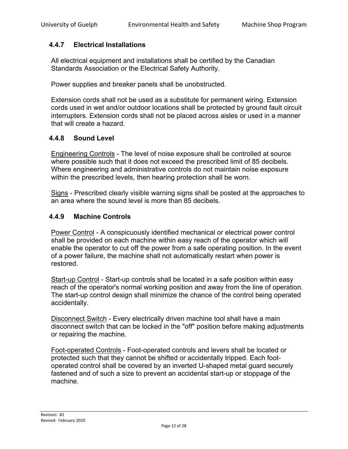### <span id="page-11-0"></span>**4.4.7 Electrical Installations**

All electrical equipment and installations shall be certified by the Canadian Standards Association or the Electrical Safety Authority.

Power supplies and breaker panels shall be unobstructed.

Extension cords shall not be used as a substitute for permanent wiring. Extension cords used in wet and/or outdoor locations shall be protected by ground fault circuit interrupters. Extension cords shall not be placed across aisles or used in a manner that will create a hazard.

### <span id="page-11-1"></span>**4.4.8 Sound Level**

Engineering Controls - The level of noise exposure shall be controlled at source where possible such that it does not exceed the prescribed limit of 85 decibels. Where engineering and administrative controls do not maintain noise exposure within the prescribed levels, then hearing protection shall be worn.

Signs - Prescribed clearly visible warning signs shall be posted at the approaches to an area where the sound level is more than 85 decibels.

#### <span id="page-11-2"></span>**4.4.9 Machine Controls**

Power Control - A conspicuously identified mechanical or electrical power control shall be provided on each machine within easy reach of the operator which will enable the operator to cut off the power from a safe operating position. In the event of a power failure, the machine shall not automatically restart when power is restored.

Start-up Control - Start-up controls shall be located in a safe position within easy reach of the operator's normal working position and away from the line of operation. The start-up control design shall minimize the chance of the control being operated accidentally.

Disconnect Switch - Every electrically driven machine tool shall have a main disconnect switch that can be locked in the "off" position before making adjustments or repairing the machine.

Foot-operated Controls - Foot-operated controls and levers shall be located or protected such that they cannot be shifted or accidentally tripped. Each footoperated control shall be covered by an inverted U-shaped metal guard securely fastened and of such a size to prevent an accidental start-up or stoppage of the machine.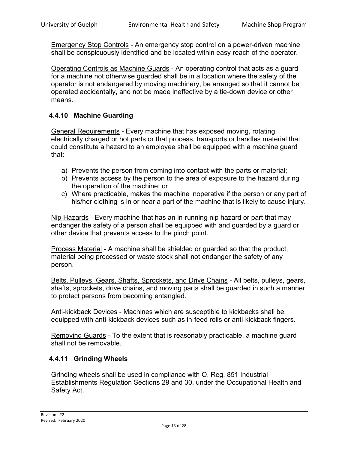Emergency Stop Controls - An emergency stop control on a power-driven machine shall be conspicuously identified and be located within easy reach of the operator.

Operating Controls as Machine Guards - An operating control that acts as a guard for a machine not otherwise guarded shall be in a location where the safety of the operator is not endangered by moving machinery, be arranged so that it cannot be operated accidentally, and not be made ineffective by a tie-down device or other means.

### <span id="page-12-0"></span>**4.4.10 Machine Guarding**

General Requirements - Every machine that has exposed moving, rotating, electrically charged or hot parts or that process, transports or handles material that could constitute a hazard to an employee shall be equipped with a machine guard that:

- a) Prevents the person from coming into contact with the parts or material;
- b) Prevents access by the person to the area of exposure to the hazard during the operation of the machine; or
- c) Where practicable, makes the machine inoperative if the person or any part of his/her clothing is in or near a part of the machine that is likely to cause injury.

Nip Hazards - Every machine that has an in-running nip hazard or part that may endanger the safety of a person shall be equipped with and guarded by a guard or other device that prevents access to the pinch point.

Process Material - A machine shall be shielded or guarded so that the product, material being processed or waste stock shall not endanger the safety of any person.

Belts, Pulleys, Gears, Shafts, Sprockets, and Drive Chains - All belts, pulleys, gears, shafts, sprockets, drive chains, and moving parts shall be guarded in such a manner to protect persons from becoming entangled.

Anti-kickback Devices - Machines which are susceptible to kickbacks shall be equipped with anti-kickback devices such as in-feed rolls or anti-kickback fingers.

Removing Guards - To the extent that is reasonably practicable, a machine guard shall not be removable.

### <span id="page-12-1"></span>**4.4.11 Grinding Wheels**

Grinding wheels shall be used in compliance with O. Reg. 851 Industrial Establishments Regulation Sections 29 and 30, under the Occupational Health and Safety Act.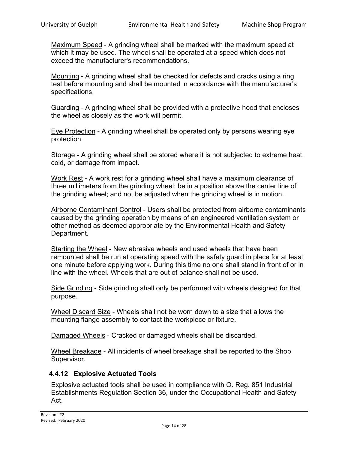Maximum Speed - A grinding wheel shall be marked with the maximum speed at which it may be used. The wheel shall be operated at a speed which does not exceed the manufacturer's recommendations.

Mounting - A grinding wheel shall be checked for defects and cracks using a ring test before mounting and shall be mounted in accordance with the manufacturer's specifications.

Guarding - A grinding wheel shall be provided with a protective hood that encloses the wheel as closely as the work will permit.

Eye Protection - A grinding wheel shall be operated only by persons wearing eye protection.

Storage - A grinding wheel shall be stored where it is not subjected to extreme heat, cold, or damage from impact.

Work Rest - A work rest for a grinding wheel shall have a maximum clearance of three millimeters from the grinding wheel; be in a position above the center line of the grinding wheel; and not be adjusted when the grinding wheel is in motion.

Airborne Contaminant Control - Users shall be protected from airborne contaminants caused by the grinding operation by means of an engineered ventilation system or other method as deemed appropriate by the Environmental Health and Safety Department.

Starting the Wheel - New abrasive wheels and used wheels that have been remounted shall be run at operating speed with the safety guard in place for at least one minute before applying work. During this time no one shall stand in front of or in line with the wheel. Wheels that are out of balance shall not be used.

Side Grinding - Side grinding shall only be performed with wheels designed for that purpose.

Wheel Discard Size - Wheels shall not be worn down to a size that allows the mounting flange assembly to contact the workpiece or fixture.

Damaged Wheels - Cracked or damaged wheels shall be discarded.

Wheel Breakage - All incidents of wheel breakage shall be reported to the Shop Supervisor.

### <span id="page-13-0"></span>**4.4.12 Explosive Actuated Tools**

Explosive actuated tools shall be used in compliance with O. Reg. 851 Industrial Establishments Regulation Section 36, under the Occupational Health and Safety Act.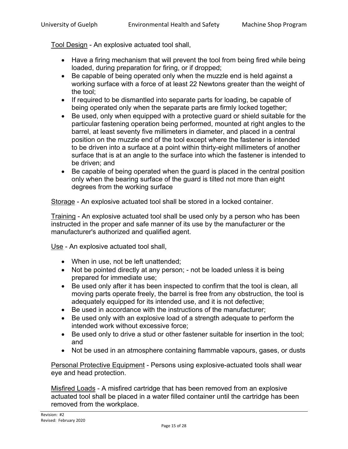Tool Design - An explosive actuated tool shall,

- Have a firing mechanism that will prevent the tool from being fired while being loaded, during preparation for firing, or if dropped;
- Be capable of being operated only when the muzzle end is held against a working surface with a force of at least 22 Newtons greater than the weight of the tool;
- If required to be dismantled into separate parts for loading, be capable of being operated only when the separate parts are firmly locked together;
- Be used, only when equipped with a protective guard or shield suitable for the particular fastening operation being performed, mounted at right angles to the barrel, at least seventy five millimeters in diameter, and placed in a central position on the muzzle end of the tool except where the fastener is intended to be driven into a surface at a point within thirty-eight millimeters of another surface that is at an angle to the surface into which the fastener is intended to be driven; and
- Be capable of being operated when the guard is placed in the central position only when the bearing surface of the guard is tilted not more than eight degrees from the working surface

Storage - An explosive actuated tool shall be stored in a locked container.

Training - An explosive actuated tool shall be used only by a person who has been instructed in the proper and safe manner of its use by the manufacturer or the manufacturer's authorized and qualified agent.

Use - An explosive actuated tool shall,

- When in use, not be left unattended;
- Not be pointed directly at any person; not be loaded unless it is being prepared for immediate use;
- Be used only after it has been inspected to confirm that the tool is clean, all moving parts operate freely, the barrel is free from any obstruction, the tool is adequately equipped for its intended use, and it is not defective;
- Be used in accordance with the instructions of the manufacturer;
- Be used only with an explosive load of a strength adequate to perform the intended work without excessive force;
- Be used only to drive a stud or other fastener suitable for insertion in the tool; and
- Not be used in an atmosphere containing flammable vapours, gases, or dusts

Personal Protective Equipment - Persons using explosive-actuated tools shall wear eye and head protection.

Misfired Loads - A misfired cartridge that has been removed from an explosive actuated tool shall be placed in a water filled container until the cartridge has been removed from the workplace.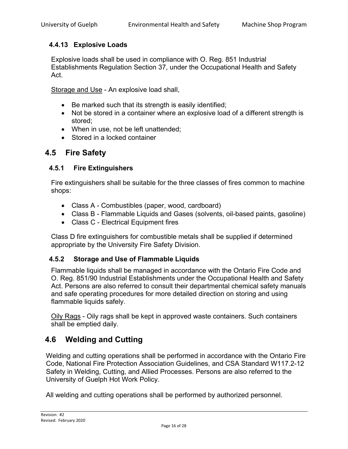### <span id="page-15-0"></span>**4.4.13 Explosive Loads**

Explosive loads shall be used in compliance with O. Reg. 851 Industrial Establishments Regulation Section 37, under the Occupational Health and Safety Act.

Storage and Use - An explosive load shall,

- Be marked such that its strength is easily identified;
- Not be stored in a container where an explosive load of a different strength is stored;
- When in use, not be left unattended;
- Stored in a locked container

### <span id="page-15-1"></span>**4.5 Fire Safety**

### <span id="page-15-2"></span>**4.5.1 Fire Extinguishers**

Fire extinguishers shall be suitable for the three classes of fires common to machine shops:

- Class A Combustibles (paper, wood, cardboard)
- Class B Flammable Liquids and Gases (solvents, oil-based paints, gasoline)
- Class C Electrical Equipment fires

Class D fire extinguishers for combustible metals shall be supplied if determined appropriate by the University Fire Safety Division.

### <span id="page-15-3"></span>**4.5.2 Storage and Use of Flammable Liquids**

Flammable liquids shall be managed in accordance with the Ontario Fire Code and O. Reg. 851/90 Industrial Establishments under the Occupational Health and Safety Act. Persons are also referred to consult their departmental chemical safety manuals and safe operating procedures for more detailed direction on storing and using flammable liquids safely.

Oily Rags - Oily rags shall be kept in approved waste containers. Such containers shall be emptied daily.

### <span id="page-15-4"></span>**4.6 Welding and Cutting**

Welding and cutting operations shall be performed in accordance with the Ontario Fire Code, National Fire Protection Association Guidelines, and CSA Standard W117.2-12 Safety in Welding, Cutting, and Allied Processes. Persons are also referred to the University of Guelph Hot Work Policy.

All welding and cutting operations shall be performed by authorized personnel.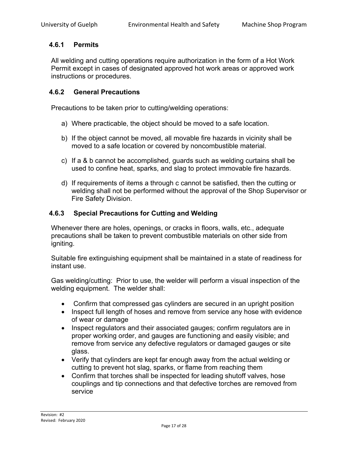### <span id="page-16-0"></span>**4.6.1 Permits**

All welding and cutting operations require authorization in the form of a Hot Work Permit except in cases of designated approved hot work areas or approved work instructions or procedures.

### <span id="page-16-1"></span>**4.6.2 General Precautions**

Precautions to be taken prior to cutting/welding operations:

- a) Where practicable, the object should be moved to a safe location.
- b) If the object cannot be moved, all movable fire hazards in vicinity shall be moved to a safe location or covered by noncombustible material.
- c) If a & b cannot be accomplished, guards such as welding curtains shall be used to confine heat, sparks, and slag to protect immovable fire hazards.
- d) If requirements of items a through c cannot be satisfied, then the cutting or welding shall not be performed without the approval of the Shop Supervisor or Fire Safety Division.

### <span id="page-16-2"></span>**4.6.3 Special Precautions for Cutting and Welding**

Whenever there are holes, openings, or cracks in floors, walls, etc., adequate precautions shall be taken to prevent combustible materials on other side from igniting.

Suitable fire extinguishing equipment shall be maintained in a state of readiness for instant use.

Gas welding/cutting: Prior to use, the welder will perform a visual inspection of the welding equipment. The welder shall:

- Confirm that compressed gas cylinders are secured in an upright position
- Inspect full length of hoses and remove from service any hose with evidence of wear or damage
- Inspect regulators and their associated gauges; confirm regulators are in proper working order, and gauges are functioning and easily visible; and remove from service any defective regulators or damaged gauges or site glass.
- Verify that cylinders are kept far enough away from the actual welding or cutting to prevent hot slag, sparks, or flame from reaching them
- Confirm that torches shall be inspected for leading shutoff valves, hose couplings and tip connections and that defective torches are removed from service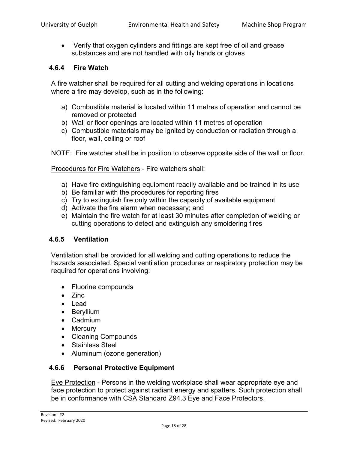• Verify that oxygen cylinders and fittings are kept free of oil and grease substances and are not handled with oily hands or gloves

#### <span id="page-17-0"></span>**4.6.4 Fire Watch**

A fire watcher shall be required for all cutting and welding operations in locations where a fire may develop, such as in the following:

- a) Combustible material is located within 11 metres of operation and cannot be removed or protected
- b) Wall or floor openings are located within 11 metres of operation
- c) Combustible materials may be ignited by conduction or radiation through a floor, wall, ceiling or roof

NOTE: Fire watcher shall be in position to observe opposite side of the wall or floor.

Procedures for Fire Watchers - Fire watchers shall:

- a) Have fire extinguishing equipment readily available and be trained in its use
- b) Be familiar with the procedures for reporting fires
- c) Try to extinguish fire only within the capacity of available equipment
- d) Activate the fire alarm when necessary; and
- e) Maintain the fire watch for at least 30 minutes after completion of welding or cutting operations to detect and extinguish any smoldering fires

#### <span id="page-17-1"></span>**4.6.5 Ventilation**

Ventilation shall be provided for all welding and cutting operations to reduce the hazards associated. Special ventilation procedures or respiratory protection may be required for operations involving:

- Fluorine compounds
- Zinc
- Lead
- Beryllium
- Cadmium
- Mercury
- Cleaning Compounds
- Stainless Steel
- Aluminum (ozone generation)

### <span id="page-17-2"></span>**4.6.6 Personal Protective Equipment**

Eye Protection - Persons in the welding workplace shall wear appropriate eye and face protection to protect against radiant energy and spatters. Such protection shall be in conformance with CSA Standard Z94.3 Eye and Face Protectors.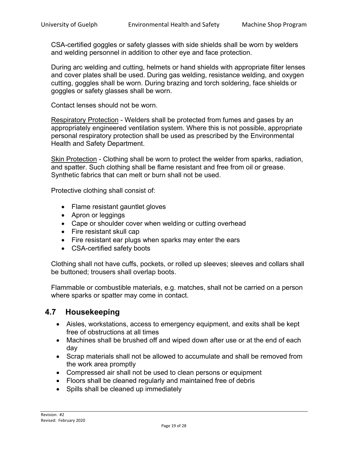CSA-certified goggles or safety glasses with side shields shall be worn by welders and welding personnel in addition to other eye and face protection.

During arc welding and cutting, helmets or hand shields with appropriate filter lenses and cover plates shall be used. During gas welding, resistance welding, and oxygen cutting, goggles shall be worn. During brazing and torch soldering, face shields or goggles or safety glasses shall be worn.

Contact lenses should not be worn.

Respiratory Protection - Welders shall be protected from fumes and gases by an appropriately engineered ventilation system. Where this is not possible, appropriate personal respiratory protection shall be used as prescribed by the Environmental Health and Safety Department.

Skin Protection - Clothing shall be worn to protect the welder from sparks, radiation, and spatter. Such clothing shall be flame resistant and free from oil or grease. Synthetic fabrics that can melt or burn shall not be used.

Protective clothing shall consist of:

- Flame resistant gauntlet gloves
- Apron or leggings
- Cape or shoulder cover when welding or cutting overhead
- Fire resistant skull cap
- Fire resistant ear plugs when sparks may enter the ears
- CSA-certified safety boots

Clothing shall not have cuffs, pockets, or rolled up sleeves; sleeves and collars shall be buttoned; trousers shall overlap boots.

Flammable or combustible materials, e.g. matches, shall not be carried on a person where sparks or spatter may come in contact.

### <span id="page-18-0"></span>**4.7 Housekeeping**

- Aisles, workstations, access to emergency equipment, and exits shall be kept free of obstructions at all times
- Machines shall be brushed off and wiped down after use or at the end of each day
- Scrap materials shall not be allowed to accumulate and shall be removed from the work area promptly
- Compressed air shall not be used to clean persons or equipment
- Floors shall be cleaned regularly and maintained free of debris
- Spills shall be cleaned up immediately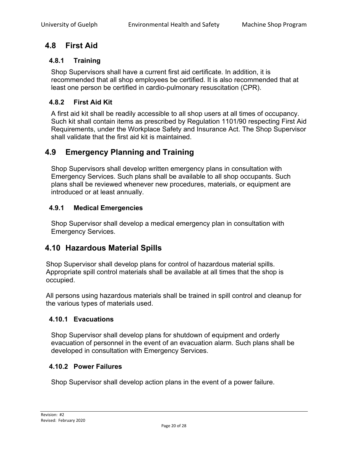# <span id="page-19-0"></span>**4.8 First Aid**

### <span id="page-19-1"></span>**4.8.1 Training**

Shop Supervisors shall have a current first aid certificate. In addition, it is recommended that all shop employees be certified. It is also recommended that at least one person be certified in cardio-pulmonary resuscitation (CPR).

### <span id="page-19-2"></span>**4.8.2 First Aid Kit**

A first aid kit shall be readily accessible to all shop users at all times of occupancy. Such kit shall contain items as prescribed by Regulation 1101/90 respecting First Aid Requirements, under the Workplace Safety and Insurance Act. The Shop Supervisor shall validate that the first aid kit is maintained.

### <span id="page-19-3"></span>**4.9 Emergency Planning and Training**

Shop Supervisors shall develop written emergency plans in consultation with Emergency Services. Such plans shall be available to all shop occupants. Such plans shall be reviewed whenever new procedures, materials, or equipment are introduced or at least annually.

### <span id="page-19-4"></span>**4.9.1 Medical Emergencies**

Shop Supervisor shall develop a medical emergency plan in consultation with Emergency Services.

### <span id="page-19-5"></span>**4.10 Hazardous Material Spills**

Shop Supervisor shall develop plans for control of hazardous material spills. Appropriate spill control materials shall be available at all times that the shop is occupied.

All persons using hazardous materials shall be trained in spill control and cleanup for the various types of materials used.

### <span id="page-19-6"></span>**4.10.1 Evacuations**

Shop Supervisor shall develop plans for shutdown of equipment and orderly evacuation of personnel in the event of an evacuation alarm. Such plans shall be developed in consultation with Emergency Services.

### <span id="page-19-7"></span>**4.10.2 Power Failures**

Shop Supervisor shall develop action plans in the event of a power failure.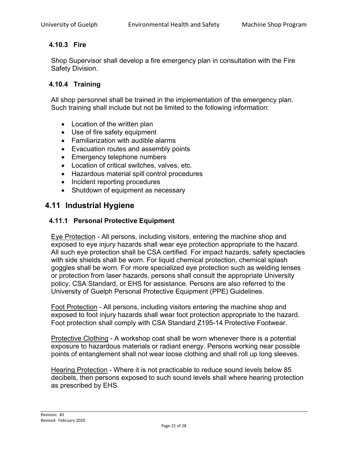### <span id="page-20-0"></span>**4.10.3 Fire**

Shop Supervisor shall develop a fire emergency plan in consultation with the Fire Safety Division.

### <span id="page-20-1"></span>**4.10.4 Training**

All shop personnel shall be trained in the implementation of the emergency plan. Such training shall include but not be limited to the following information:

- Location of the written plan
- Use of fire safety equipment
- Familiarization with audible alarms
- Evacuation routes and assembly points
- Emergency telephone numbers
- Location of critical switches, valves, etc.
- Hazardous material spill control procedures
- Incident reporting procedures
- Shutdown of equipment as necessary

### <span id="page-20-2"></span>**4.11 Industrial Hygiene**

### <span id="page-20-3"></span>**4.11.1 Personal Protective Equipment**

Eye Protection - All persons, including visitors, entering the machine shop and exposed to eye injury hazards shall wear eye protection appropriate to the hazard. All such eye protection shall be CSA certified. For impact hazards, safety spectacles with side shields shall be worn. For liquid chemical protection, chemical splash goggles shall be worn. For more specialized eye protection such as welding lenses or protection from laser hazards, persons shall consult the appropriate University policy, CSA Standard, or EHS for assistance. Persons are also referred to the University of Guelph Personal Protective Equipment (PPE) Guidelines.

Foot Protection - All persons, including visitors entering the machine shop and exposed to foot injury hazards shall wear foot protection appropriate to the hazard. Foot protection shall comply with CSA Standard Z195-14 Protective Footwear.

Protective Clothing - A workshop coat shall be worn whenever there is a potential exposure to hazardous materials or radiant energy. Persons working near possible points of entanglement shall not wear loose clothing and shall roll up long sleeves.

Hearing Protection - Where it is not practicable to reduce sound levels below 85 decibels, then persons exposed to such sound levels shall where hearing protection as prescribed by EHS.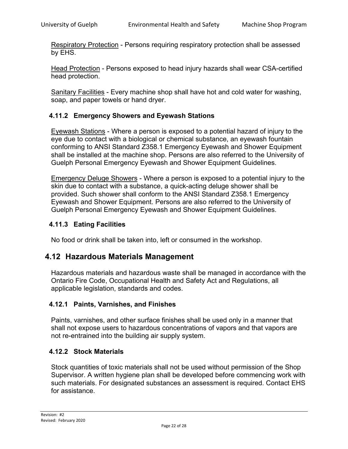Respiratory Protection - Persons requiring respiratory protection shall be assessed by EHS.

Head Protection - Persons exposed to head injury hazards shall wear CSA-certified head protection.

Sanitary Facilities - Every machine shop shall have hot and cold water for washing, soap, and paper towels or hand dryer.

### <span id="page-21-0"></span>**4.11.2 Emergency Showers and Eyewash Stations**

Eyewash Stations - Where a person is exposed to a potential hazard of injury to the eye due to contact with a biological or chemical substance, an eyewash fountain conforming to ANSI Standard Z358.1 Emergency Eyewash and Shower Equipment shall be installed at the machine shop. Persons are also referred to the University of Guelph Personal Emergency Eyewash and Shower Equipment Guidelines.

Emergency Deluge Showers - Where a person is exposed to a potential injury to the skin due to contact with a substance, a quick-acting deluge shower shall be provided. Such shower shall conform to the ANSI Standard Z358.1 Emergency Eyewash and Shower Equipment. Persons are also referred to the University of Guelph Personal Emergency Eyewash and Shower Equipment Guidelines.

#### <span id="page-21-1"></span>**4.11.3 Eating Facilities**

No food or drink shall be taken into, left or consumed in the workshop.

### <span id="page-21-2"></span>**4.12 Hazardous Materials Management**

Hazardous materials and hazardous waste shall be managed in accordance with the Ontario Fire Code, Occupational Health and Safety Act and Regulations, all applicable legislation, standards and codes.

#### <span id="page-21-3"></span>**4.12.1 Paints, Varnishes, and Finishes**

Paints, varnishes, and other surface finishes shall be used only in a manner that shall not expose users to hazardous concentrations of vapors and that vapors are not re-entrained into the building air supply system.

#### <span id="page-21-4"></span>**4.12.2 Stock Materials**

Stock quantities of toxic materials shall not be used without permission of the Shop Supervisor. A written hygiene plan shall be developed before commencing work with such materials. For designated substances an assessment is required. Contact EHS for assistance.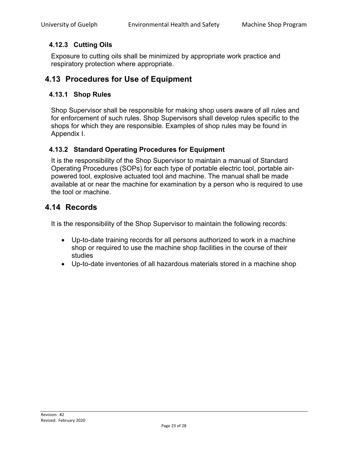### <span id="page-22-0"></span>**4.12.3 Cutting Oils**

Exposure to cutting oils shall be minimized by appropriate work practice and respiratory protection where appropriate.

### <span id="page-22-1"></span>**4.13 Procedures for Use of Equipment**

### <span id="page-22-2"></span>**4.13.1 Shop Rules**

Shop Supervisor shall be responsible for making shop users aware of all rules and for enforcement of such rules. Shop Supervisors shall develop rules specific to the shops for which they are responsible. Examples of shop rules may be found in Appendix I.

### <span id="page-22-3"></span>**4.13.2 Standard Operating Procedures for Equipment**

It is the responsibility of the Shop Supervisor to maintain a manual of Standard Operating Procedures (SOPs) for each type of portable electric tool, portable airpowered tool, explosive actuated tool and machine. The manual shall be made available at or near the machine for examination by a person who is required to use the tool or machine.

### <span id="page-22-4"></span>**4.14 Records**

It is the responsibility of the Shop Supervisor to maintain the following records:

- Up-to-date training records for all persons authorized to work in a machine shop or required to use the machine shop facilities in the course of their studies
- Up-to-date inventories of all hazardous materials stored in a machine shop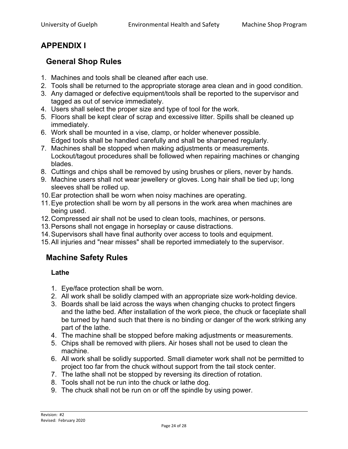# <span id="page-23-0"></span>**APPENDIX I**

# <span id="page-23-1"></span>**General Shop Rules**

- 1. Machines and tools shall be cleaned after each use.
- 2. Tools shall be returned to the appropriate storage area clean and in good condition.
- 3. Any damaged or defective equipment/tools shall be reported to the supervisor and tagged as out of service immediately.
- 4. Users shall select the proper size and type of tool for the work.
- 5. Floors shall be kept clear of scrap and excessive litter. Spills shall be cleaned up immediately.
- 6. Work shall be mounted in a vise, clamp, or holder whenever possible. Edged tools shall be handled carefully and shall be sharpened regularly.
- 7. Machines shall be stopped when making adjustments or measurements. Lockout/tagout procedures shall be followed when repairing machines or changing blades.
- 8. Cuttings and chips shall be removed by using brushes or pliers, never by hands.
- 9. Machine users shall not wear jewellery or gloves. Long hair shall be tied up; long sleeves shall be rolled up.
- 10.Ear protection shall be worn when noisy machines are operating.
- 11.Eye protection shall be worn by all persons in the work area when machines are being used.
- 12.Compressed air shall not be used to clean tools, machines, or persons.
- 13.Persons shall not engage in horseplay or cause distractions.
- 14.Supervisors shall have final authority over access to tools and equipment.
- <span id="page-23-2"></span>15.All injuries and "near misses" shall be reported immediately to the supervisor.

# **Machine Safety Rules**

### <span id="page-23-3"></span>**Lathe**

- 1. Eye/face protection shall be worn.
- 2. All work shall be solidly clamped with an appropriate size work-holding device.
- 3. Boards shall be laid across the ways when changing chucks to protect fingers and the lathe bed. After installation of the work piece, the chuck or faceplate shall be turned by hand such that there is no binding or danger of the work striking any part of the lathe.
- 4. The machine shall be stopped before making adjustments or measurements.
- 5. Chips shall be removed with pliers. Air hoses shall not be used to clean the machine.
- 6. All work shall be solidly supported. Small diameter work shall not be permitted to project too far from the chuck without support from the tail stock center.
- 7. The lathe shall not be stopped by reversing its direction of rotation.
- 8. Tools shall not be run into the chuck or lathe dog.
- 9. The chuck shall not be run on or off the spindle by using power.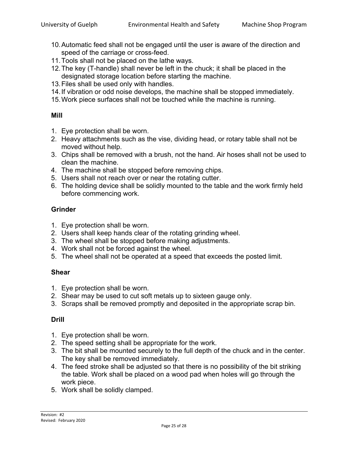- 10.Automatic feed shall not be engaged until the user is aware of the direction and speed of the carriage or cross-feed.
- 11.Tools shall not be placed on the lathe ways.
- 12.The key (T-handle) shall never be left in the chuck; it shall be placed in the designated storage location before starting the machine.
- 13.Files shall be used only with handles.
- 14.If vibration or odd noise develops, the machine shall be stopped immediately.
- 15.Work piece surfaces shall not be touched while the machine is running.

#### <span id="page-24-0"></span>**Mill**

- 1. Eye protection shall be worn.
- 2. Heavy attachments such as the vise, dividing head, or rotary table shall not be moved without help.
- 3. Chips shall be removed with a brush, not the hand. Air hoses shall not be used to clean the machine.
- 4. The machine shall be stopped before removing chips.
- 5. Users shall not reach over or near the rotating cutter.
- 6. The holding device shall be solidly mounted to the table and the work firmly held before commencing work.

### <span id="page-24-1"></span>**Grinder**

- 1. Eye protection shall be worn.
- 2. Users shall keep hands clear of the rotating grinding wheel.
- 3. The wheel shall be stopped before making adjustments.
- 4. Work shall not be forced against the wheel.
- 5. The wheel shall not be operated at a speed that exceeds the posted limit.

### <span id="page-24-2"></span>**Shear**

- 1. Eye protection shall be worn.
- 2. Shear may be used to cut soft metals up to sixteen gauge only.
- 3. Scraps shall be removed promptly and deposited in the appropriate scrap bin.

### <span id="page-24-3"></span>**Drill**

- 1. Eye protection shall be worn.
- 2. The speed setting shall be appropriate for the work.
- 3. The bit shall be mounted securely to the full depth of the chuck and in the center. The key shall be removed immediately.
- 4. The feed stroke shall be adjusted so that there is no possibility of the bit striking the table. Work shall be placed on a wood pad when holes will go through the work piece.
- 5. Work shall be solidly clamped.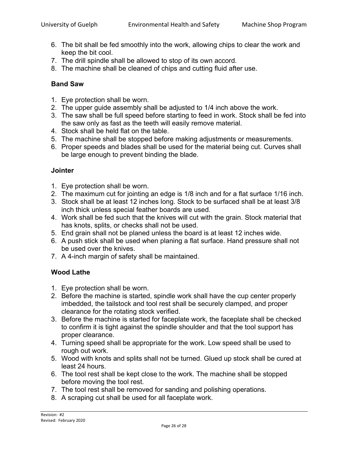- 6. The bit shall be fed smoothly into the work, allowing chips to clear the work and keep the bit cool.
- 7. The drill spindle shall be allowed to stop of its own accord.
- 8. The machine shall be cleaned of chips and cutting fluid after use.

### <span id="page-25-0"></span>**Band Saw**

- 1. Eye protection shall be worn.
- 2. The upper guide assembly shall be adjusted to 1/4 inch above the work.
- 3. The saw shall be full speed before starting to feed in work. Stock shall be fed into the saw only as fast as the teeth will easily remove material.
- 4. Stock shall be held flat on the table.
- 5. The machine shall be stopped before making adjustments or measurements.
- 6. Proper speeds and blades shall be used for the material being cut. Curves shall be large enough to prevent binding the blade.

#### <span id="page-25-1"></span>**Jointer**

- 1. Eye protection shall be worn.
- 2. The maximum cut for jointing an edge is 1/8 inch and for a flat surface 1/16 inch.
- 3. Stock shall be at least 12 inches long. Stock to be surfaced shall be at least 3/8 inch thick unless special feather boards are used.
- 4. Work shall be fed such that the knives will cut with the grain. Stock material that has knots, splits, or checks shall not be used.
- 5. End grain shall not be planed unless the board is at least 12 inches wide.
- 6. A push stick shall be used when planing a flat surface. Hand pressure shall not be used over the knives.
- 7. A 4-inch margin of safety shall be maintained.

### <span id="page-25-2"></span>**Wood Lathe**

- 1. Eye protection shall be worn.
- 2. Before the machine is started, spindle work shall have the cup center properly imbedded, the tailstock and tool rest shall be securely clamped, and proper clearance for the rotating stock verified.
- 3. Before the machine is started for faceplate work, the faceplate shall be checked to confirm it is tight against the spindle shoulder and that the tool support has proper clearance.
- 4. Turning speed shall be appropriate for the work. Low speed shall be used to rough out work.
- 5. Wood with knots and splits shall not be turned. Glued up stock shall be cured at least 24 hours.
- 6. The tool rest shall be kept close to the work. The machine shall be stopped before moving the tool rest.
- 7. The tool rest shall be removed for sanding and polishing operations.
- 8. A scraping cut shall be used for all faceplate work.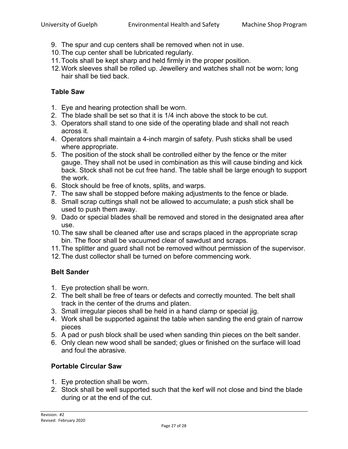- 9. The spur and cup centers shall be removed when not in use.
- 10.The cup center shall be lubricated regularly.
- 11.Tools shall be kept sharp and held firmly in the proper position.
- 12.Work sleeves shall be rolled up. Jewellery and watches shall not be worn; long hair shall be tied back.

### <span id="page-26-0"></span>**Table Saw**

- 1. Eye and hearing protection shall be worn.
- 2. The blade shall be set so that it is 1/4 inch above the stock to be cut.
- 3. Operators shall stand to one side of the operating blade and shall not reach across it.
- 4. Operators shall maintain a 4-inch margin of safety. Push sticks shall be used where appropriate.
- 5. The position of the stock shall be controlled either by the fence or the miter gauge. They shall not be used in combination as this will cause binding and kick back. Stock shall not be cut free hand. The table shall be large enough to support the work.
- 6. Stock should be free of knots, splits, and warps.
- 7. The saw shall be stopped before making adjustments to the fence or blade.
- 8. Small scrap cuttings shall not be allowed to accumulate; a push stick shall be used to push them away.
- 9. Dado or special blades shall be removed and stored in the designated area after use.
- 10.The saw shall be cleaned after use and scraps placed in the appropriate scrap bin. The floor shall be vacuumed clear of sawdust and scraps.
- 11.The splitter and guard shall not be removed without permission of the supervisor.
- 12.The dust collector shall be turned on before commencing work.

### <span id="page-26-1"></span>**Belt Sander**

- 1. Eye protection shall be worn.
- 2. The belt shall be free of tears or defects and correctly mounted. The belt shall track in the center of the drums and platen.
- 3. Small irregular pieces shall be held in a hand clamp or special jig.
- 4. Work shall be supported against the table when sanding the end grain of narrow pieces
- 5. A pad or push block shall be used when sanding thin pieces on the belt sander.
- 6. Only clean new wood shall be sanded; glues or finished on the surface will load and foul the abrasive.

### <span id="page-26-2"></span>**Portable Circular Saw**

- 1. Eye protection shall be worn.
- 2. Stock shall be well supported such that the kerf will not close and bind the blade during or at the end of the cut.